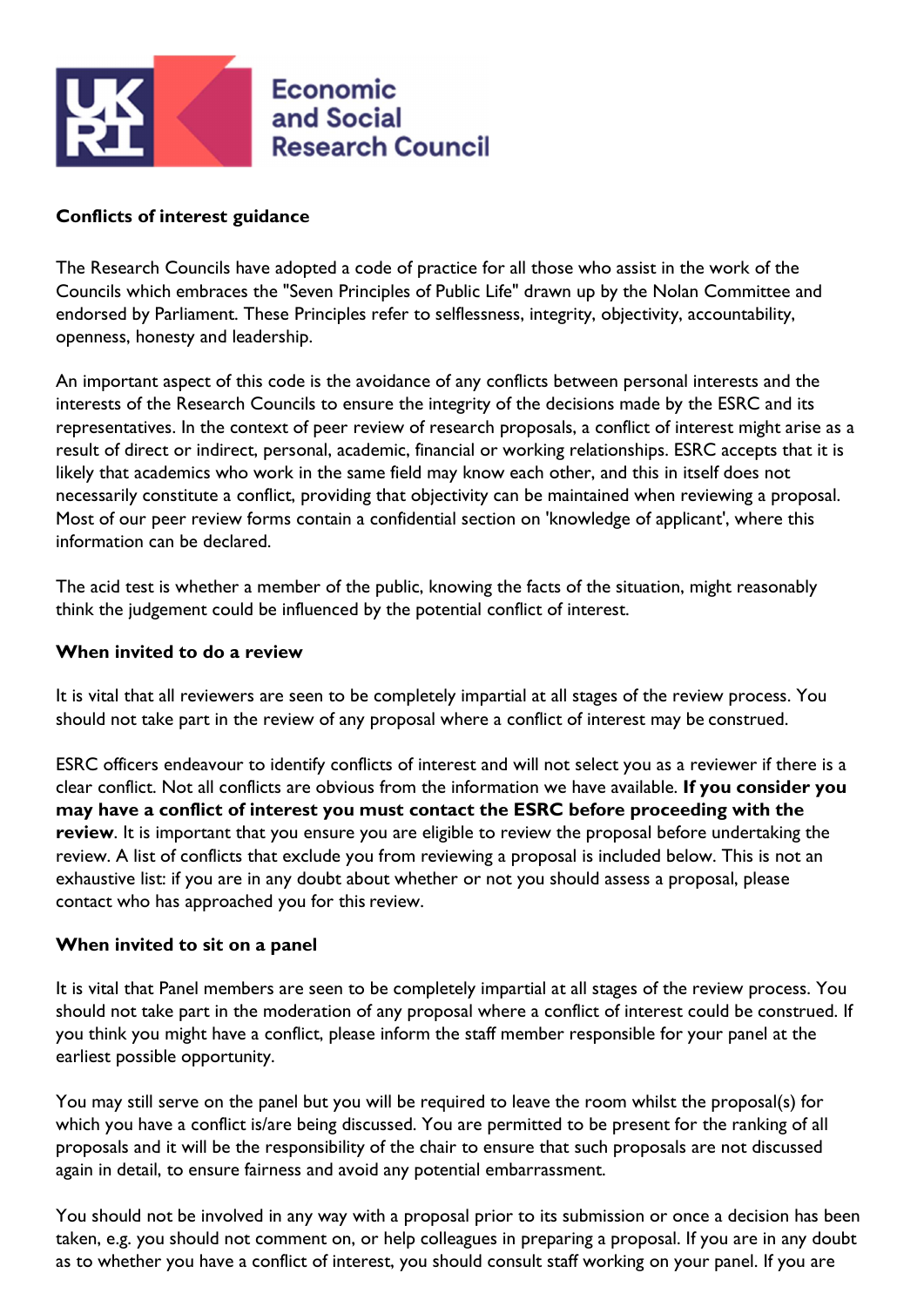

### Conflicts of interest guidance

The Research Councils have adopted a code of practice for all those who assist in the work of the Councils which embraces the "Seven Principles of Public Life" drawn up by the Nolan Committee and endorsed by Parliament. These Principles refer to selflessness, integrity, objectivity, accountability, openness, honesty and leadership.

An important aspect of this code is the avoidance of any conflicts between personal interests and the interests of the Research Councils to ensure the integrity of the decisions made by the ESRC and its representatives. In the context of peer review of research proposals, a conflict of interest might arise as a result of direct or indirect, personal, academic, financial or working relationships. ESRC accepts that it is likely that academics who work in the same field may know each other, and this in itself does not necessarily constitute a conflict, providing that objectivity can be maintained when reviewing a proposal. Most of our peer review forms contain a confidential section on 'knowledge of applicant', where this information can be declared.

The acid test is whether a member of the public, knowing the facts of the situation, might reasonably think the judgement could be influenced by the potential conflict of interest.

#### When invited to do a review

It is vital that all reviewers are seen to be completely impartial at all stages of the review process. You should not take part in the review of any proposal where a conflict of interest may be construed.

ESRC officers endeavour to identify conflicts of interest and will not select you as a reviewer if there is a clear conflict. Not all conflicts are obvious from the information we have available. If you consider you may have a conflict of interest you must contact the ESRC before proceeding with the review. It is important that you ensure you are eligible to review the proposal before undertaking the review. A list of conflicts that exclude you from reviewing a proposal is included below. This is not an exhaustive list: if you are in any doubt about whether or not you should assess a proposal, please contact who has approached you for this review.

#### When invited to sit on a panel

It is vital that Panel members are seen to be completely impartial at all stages of the review process. You should not take part in the moderation of any proposal where a conflict of interest could be construed. If you think you might have a conflict, please inform the staff member responsible for your panel at the earliest possible opportunity.

You may still serve on the panel but you will be required to leave the room whilst the proposal(s) for which you have a conflict is/are being discussed. You are permitted to be present for the ranking of all proposals and it will be the responsibility of the chair to ensure that such proposals are not discussed again in detail, to ensure fairness and avoid any potential embarrassment.

You should not be involved in any way with a proposal prior to its submission or once a decision has been taken, e.g. you should not comment on, or help colleagues in preparing a proposal. If you are in any doubt as to whether you have a conflict of interest, you should consult staff working on your panel. If you are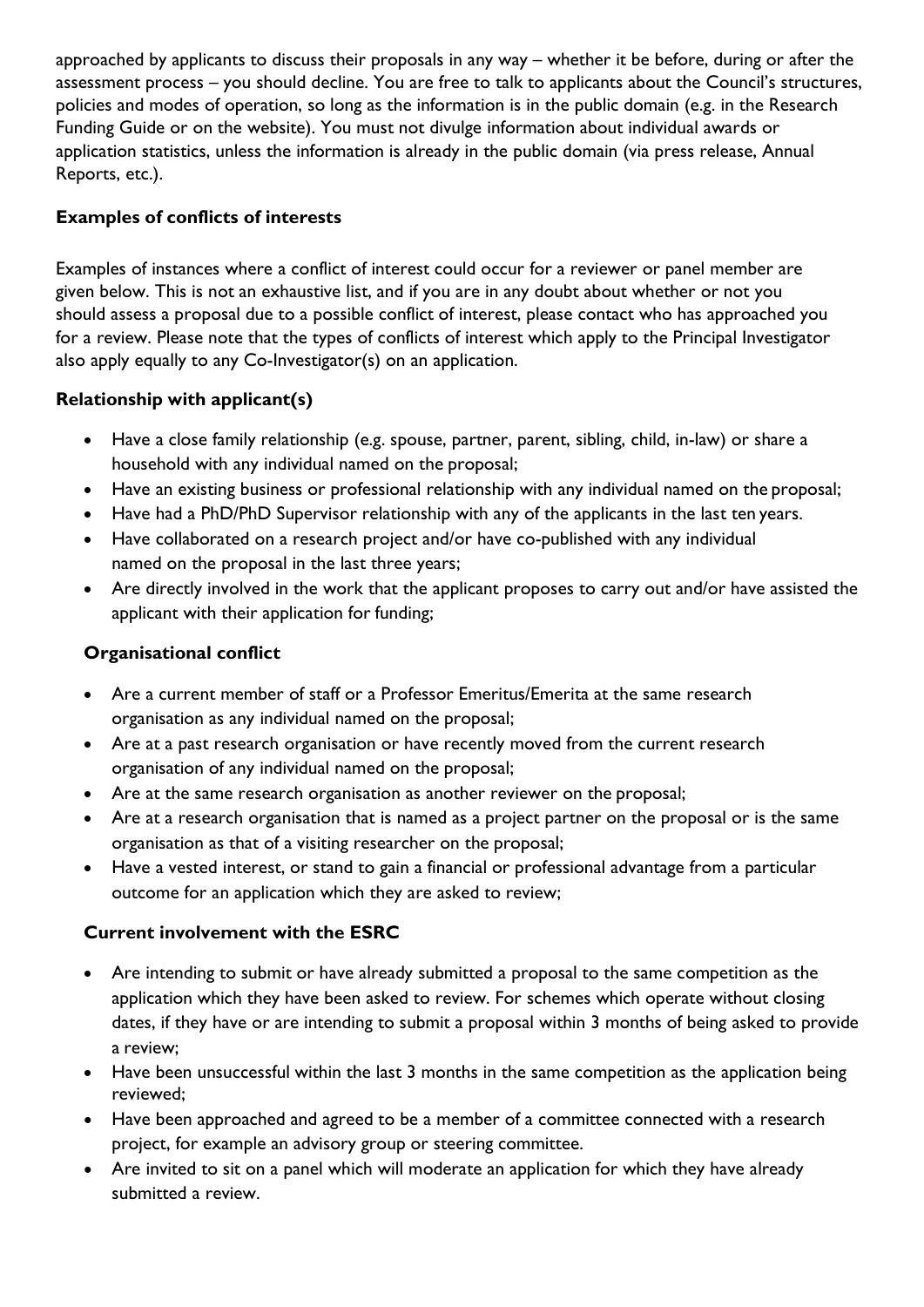approached by applicants to discuss their proposals in any way – whether it be before, during or after the assessment process – you should decline. You are free to talk to applicants about the Council's structures, policies and modes of operation, so long as the information is in the public domain (e.g. in the Research Funding Guide or on the website). You must not divulge information about individual awards or application statistics, unless the information is already in the public domain (via press release, Annual Reports, etc.).

## Examples of conflicts of interests

Examples of instances where a conflict of interest could occur for a reviewer or panel member are given below. This is not an exhaustive list, and if you are in any doubt about whether or not you should assess a proposal due to a possible conflict of interest, please contact who has approached you for a review. Please note that the types of conflicts of interest which apply to the Principal Investigator also apply equally to any Co-Investigator(s) on an application.

# Relationship with applicant(s)

- Have a close family relationship (e.g. spouse, partner, parent, sibling, child, in-law) or share a household with any individual named on the proposal;
- Have an existing business or professional relationship with any individual named on the proposal;
- Have had a PhD/PhD Supervisor relationship with any of the applicants in the last ten years.
- Have collaborated on a research project and/or have co-published with any individual named on the proposal in the last three years;
- Are directly involved in the work that the applicant proposes to carry out and/or have assisted the applicant with their application for funding;

## Organisational conflict

- Are a current member of staff or a Professor Emeritus/Emerita at the same research organisation as any individual named on the proposal;
- Are at a past research organisation or have recently moved from the current research organisation of any individual named on the proposal;
- Are at the same research organisation as another reviewer on the proposal;
- Are at a research organisation that is named as a project partner on the proposal or is the same organisation as that of a visiting researcher on the proposal;
- Have a vested interest, or stand to gain a financial or professional advantage from a particular outcome for an application which they are asked to review;

# Current involvement with the ESRC

- Are intending to submit or have already submitted a proposal to the same competition as the application which they have been asked to review. For schemes which operate without closing dates, if they have or are intending to submit a proposal within 3 months of being asked to provide a review;
- Have been unsuccessful within the last 3 months in the same competition as the application being reviewed;
- Have been approached and agreed to be a member of a committee connected with a research project, for example an advisory group or steering committee.
- Are invited to sit on a panel which will moderate an application for which they have already submitted a review.